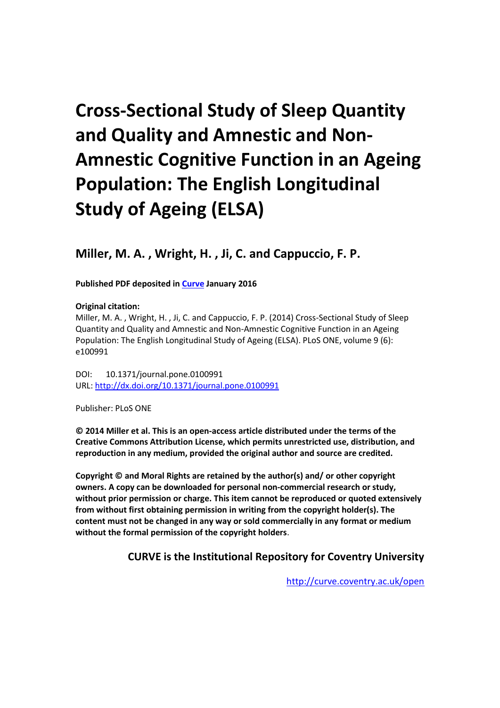# **Cross-Sectional Study of Sleep Quantity and Quality and Amnestic and Non-Amnestic Cognitive Function in an Ageing Population: The English Longitudinal Study of Ageing (ELSA)**

**Miller, M. A. , Wright, H. , Ji, C. and Cappuccio, F. P.**

**Published PDF deposited in [Curve](http://curve.coventry.ac.uk/open) January 2016**

#### **Original citation:**

Miller, M. A. , Wright, H. , Ji, C. and Cappuccio, F. P. (2014) Cross-Sectional Study of Sleep Quantity and Quality and Amnestic and Non-Amnestic Cognitive Function in an Ageing Population: The English Longitudinal Study of Ageing (ELSA). PLoS ONE, volume 9 (6): e100991

DOI: 10.1371/journal.pone.0100991 URL:<http://dx.doi.org/10.1371/journal.pone.0100991>

Publisher: PLoS ONE

**© 2014 Miller et al. This is an open-access article distributed under the terms of the Creative Commons Attribution License, which permits unrestricted use, distribution, and reproduction in any medium, provided the original author and source are credited.**

**Copyright © and Moral Rights are retained by the author(s) and/ or other copyright owners. A copy can be downloaded for personal non-commercial research or study, without prior permission or charge. This item cannot be reproduced or quoted extensively from without first obtaining permission in writing from the copyright holder(s). The content must not be changed in any way or sold commercially in any format or medium without the formal permission of the copyright holders**.

### **CURVE is the Institutional Repository for Coventry University**

<http://curve.coventry.ac.uk/open>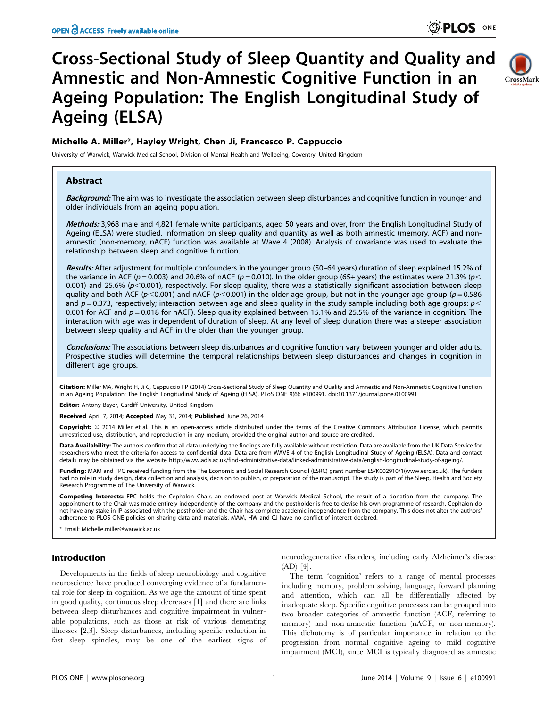## Cross-Sectional Study of Sleep Quantity and Quality and Amnestic and Non-Amnestic Cognitive Function in an Ageing Population: The English Longitudinal Study of Ageing (ELSA)



#### Michelle A. Miller\*, Hayley Wright, Chen Ji, Francesco P. Cappuccio

University of Warwick, Warwick Medical School, Division of Mental Health and Wellbeing, Coventry, United Kingdom

#### Abstract

Background: The aim was to investigate the association between sleep disturbances and cognitive function in younger and older individuals from an ageing population.

Methods: 3,968 male and 4,821 female white participants, aged 50 years and over, from the English Longitudinal Study of Ageing (ELSA) were studied. Information on sleep quality and quantity as well as both amnestic (memory, ACF) and nonamnestic (non-memory, nACF) function was available at Wave 4 (2008). Analysis of covariance was used to evaluate the relationship between sleep and cognitive function.

Results: After adjustment for multiple confounders in the younger group (50-64 years) duration of sleep explained 15.2% of the variance in ACF ( $p = 0.003$ ) and 20.6% of nACF ( $p = 0.010$ ). In the older group (65+ years) the estimates were 21.3% ( $p <$ 0.001) and 25.6% ( $p<0.001$ ), respectively. For sleep quality, there was a statistically significant association between sleep quality and both ACF ( $p<0.001$ ) and nACF ( $p<0.001$ ) in the older age group, but not in the younger age group ( $p = 0.586$ ) and  $p = 0.373$ , respectively; interaction between age and sleep quality in the study sample including both age groups:  $p <$ 0.001 for ACF and  $p = 0.018$  for nACF). Sleep quality explained between 15.1% and 25.5% of the variance in cognition. The interaction with age was independent of duration of sleep. At any level of sleep duration there was a steeper association between sleep quality and ACF in the older than the younger group.

Conclusions: The associations between sleep disturbances and cognitive function vary between younger and older adults. Prospective studies will determine the temporal relationships between sleep disturbances and changes in cognition in different age groups.

Citation: Miller MA, Wright H, Ji C, Cappuccio FP (2014) Cross-Sectional Study of Sleep Quantity and Quality and Amnestic and Non-Amnestic Cognitive Function in an Ageing Population: The English Longitudinal Study of Ageing (ELSA). PLoS ONE 9(6): e100991. doi:10.1371/journal.pone.0100991

Editor: Antony Bayer, Cardiff University, United Kingdom

Received April 7, 2014; Accepted May 31, 2014; Published June 26, 2014

Copyright: © 2014 Miller et al. This is an open-access article distributed under the terms of the [Creative Commons Attribution License,](http://creativecommons.org/licenses/by/4.0/) which permits unrestricted use, distribution, and reproduction in any medium, provided the original author and source are credited.

Data Availability: The authors confirm that all data underlying the findings are fully available without restriction. Data are available from the UK Data Service for researchers who meet the criteria for access to confidential data. Data are from WAVE 4 of the English Longitudinal Study of Ageing (ELSA). Data and contact details may be obtained via the website http://www.adls.ac.uk/find-administrative-data/linked-administrative-data/english-longitudinal-study-of-ageing/.

Funding: MAM and FPC received funding from the The Economic and Social Research Council (ESRC) grant number ES/K002910/1[\(www.esrc.ac.uk\)](www.esrc.ac.uk). The funders had no role in study design, data collection and analysis, decision to publish, or preparation of the manuscript. The study is part of the Sleep, Health and Society Research Programme of The University of Warwick.

Competing Interests: FPC holds the Cephalon Chair, an endowed post at Warwick Medical School, the result of a donation from the company. The appointment to the Chair was made entirely independently of the company and the postholder is free to devise his own programme of research. Cephalon do not have any stake in IP associated with the postholder and the Chair has complete academic independence from the company. This does not alter the authors' adherence to PLOS ONE policies on sharing data and materials. MAM, HW and CJ have no conflict of interest declared.

Email: Michelle.miller@warwick.ac.uk

#### Introduction

Developments in the fields of sleep neurobiology and cognitive neuroscience have produced converging evidence of a fundamental role for sleep in cognition. As we age the amount of time spent in good quality, continuous sleep decreases [1] and there are links between sleep disturbances and cognitive impairment in vulnerable populations, such as those at risk of various dementing illnesses [2,3]. Sleep disturbances, including specific reduction in fast sleep spindles, may be one of the earliest signs of neurodegenerative disorders, including early Alzheimer's disease (AD) [4].

The term 'cognition' refers to a range of mental processes including memory, problem solving, language, forward planning and attention, which can all be differentially affected by inadequate sleep. Specific cognitive processes can be grouped into two broader categories of amnestic function (ACF, referring to memory) and non-amnestic function (nACF, or non-memory). This dichotomy is of particular importance in relation to the progression from normal cognitive ageing to mild cognitive impairment (MCI), since MCI is typically diagnosed as amnestic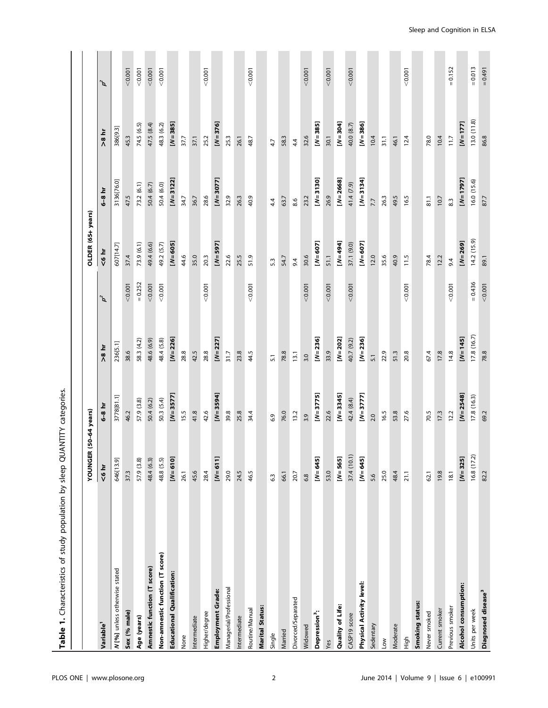| Table 1. Characteristics of study population by sleep QUANTITY categories |                          |              |                  |                       |                   |              |            |                       |
|---------------------------------------------------------------------------|--------------------------|--------------|------------------|-----------------------|-------------------|--------------|------------|-----------------------|
|                                                                           | (50-64 years)<br>YOUNGER |              |                  |                       | OLDER (65+ years) |              |            |                       |
| Variable <sup>1</sup>                                                     | $6 hr$                   | $6-8$ hr     | $\frac{1}{10}$   | $\boldsymbol{\rho}^2$ | $6 hr$            | 6-8 hr       | >8 hr      | $\boldsymbol{\rho}^2$ |
| N [%] unless otherwise stated                                             | 646[13.9]                | 3778[81.1]   | 236[5.1]         |                       | 607[14.7]         | 3136[76.0]   | 386[9.3]   |                       |
| Sex (% male)                                                              | 37.3                     | 46.2         | 38.6             | < 0.001               | 37.4              | 47.5         | 45.3       | < 0.001               |
| Age (years)                                                               | 57.9 (3.8)               | 57.9 (3.8)   | 58.3 (4.2)       | $= 0.252$             | 73.9 (6.1)        | 73.2 (6.1)   | 74.5 (6.5) | 0.001                 |
| Amnestic function (T score)                                               | 48.4 (6.3)               | 50.4 (6.2)   | 48.6 (6.9)       | < 0.001               | 49.4 (6.6)        | 50.4 (6.7)   | 47.5 (8.4) | < 0.001               |
| Non-amnestic function (T score)                                           | 48.8 (5.5)               | 50.3 (5.4)   | 48.4 (5.8)       | 0.001                 | 49.2 (5.7)        | 50.4 (6.0)   | 48.3 (6.2) | 0.001                 |
| <b>Educational Qualification:</b>                                         | $[N=610]$                | $[N=3577]$   | $[N=226]$        |                       | $[N=605]$         | $[N=3122]$   | $[N=385]$  |                       |
| None                                                                      | 26.1                     | 15.5         | 28.8             |                       | 44.6              | 34.7         | 37.7       |                       |
| Intermediate                                                              | 45.6                     | 41.8         | 42.5             |                       | 35.0              | 36.7         | 37.1       |                       |
| Higher/degree                                                             | 28.4                     | 42.6         | 28.8             | < 0.001               | 20.3              | 28.6         | 25.2       | < 0.001               |
| Employment Grade:                                                         | $[N=611]$                | $[N=3594]$   | $[N=227]$        |                       | $[N=597]$         | $[N=3077]$   | $[N=376]$  |                       |
| Managerial/Professional                                                   | 29.0                     | 39.8         | 31.7             |                       | 22.6              | 32.9         | 25.3       |                       |
| Intermediate                                                              | 24.5                     | 25.8         | 23.8             |                       | 25.5              | 26.3         | 26.1       |                       |
| Routine/Manual                                                            | 46.5                     | 34.4         | 44.5             | < 0.001               | 51.9              | 40.9         | 48.7       | 0.001                 |
| Marital Status:                                                           |                          |              |                  |                       |                   |              |            |                       |
| Single                                                                    | 6.3                      | 6.9          | 5.1              |                       | 5.3               | 44           | 4.7        |                       |
| Married                                                                   | 66.1                     | 76.0         | 78.8             |                       | 54.7              | 63.7         | 58.3       |                       |
| Divorced/Separated                                                        | 20.7                     | 13.2         | 13.1             |                       | 9.4               | 8.6          | 4.4        |                       |
| Widowed                                                                   | 6.8                      | 3.9          | 3.0              | < 0.001               | 30.6              | 23.2         | 32.6       | < 0.001               |
| Depression <sup>3</sup> :                                                 | $[N=645]$                | $[N=3775]$   | $[N=236]$        |                       | $[N=607]$         | $[N=3130]$   | $[N=385]$  |                       |
| Yes                                                                       | 53.0                     | 22.6         | 33.9             | < 0.001               | 51.1              | 26.9         | 30.1       | < 0.001               |
| Quality of Life:                                                          | $[N=565]$                | $[N=3345]$   | $[N=202]$        |                       | $[N=494]$         | $[N = 2668]$ | $[N=304]$  |                       |
| CASP19 score                                                              | 37.4 (10.1)              | 42.4 (8.4)   | 40.7 (9.2)       | < 0.001               | 37.1 (9.0)        | 41.4 (7.9)   | 40.0 (8.7) | < 0.001               |
| Physical Activity level:                                                  | $[N=645]$                | $[N=3777]$   | $[N=236]$        |                       | $[N=607]$         | $[N=3134]$   | $[N=386]$  |                       |
| Sedentary                                                                 | 5.6                      | 2.0          | $\overline{5}$ . |                       | 12.0              | 7.7          | 10.4       |                       |
| <b>NOT</b>                                                                | 25.0                     | 16.5         | 22.9             |                       | 35.6              | 26.3         | 31.1       |                       |
| Moderate                                                                  | 48.4                     | 53.8         | 51.3             |                       | 40.9              | 49.5         | 46.1       |                       |
| High                                                                      | 21.1                     | 27.6         | 20.8             | < 0.001               | 11.5              | 16.5         | 12.4       | 0.001                 |
| Smoking status:                                                           |                          |              |                  |                       |                   |              |            |                       |
| Never smoked                                                              | 62.1                     | 70.5         | 67.4             |                       | 78.4              | 81.1         | 78.0       |                       |
| Current smoker                                                            | 19.8                     | 17.3         | 17.8             |                       | 12.2              | 10.7         | 10.4       |                       |
| Previous smoker                                                           | 18.1                     | 12.2         | 14.8             | 10000                 | 9.4               | 8.3          | $11.7$     | $= 0.152$             |
| Alcohol consumption:                                                      | $[N=325]$                | $[N = 2548]$ | $[N=145]$        |                       | $[N = 269]$       | $[N=1797]$   | $[N=177]$  |                       |
| Units per week                                                            | 16.8(17.2)               | 17.8 (16.3)  | 17.8 (16.7)      | $= 0.436$             | 14.2(15.9)        | 16.0 (15.6)  | 13.0(11.8) | $= 0.013$             |
| Diagnosed disease <sup>3</sup>                                            | 82.2                     | 69.2         | 78.8             | < 0.001               | 89.1              | 87.7         | 86.8       | $= 0.491$             |

Sleep and Cognition in ELSA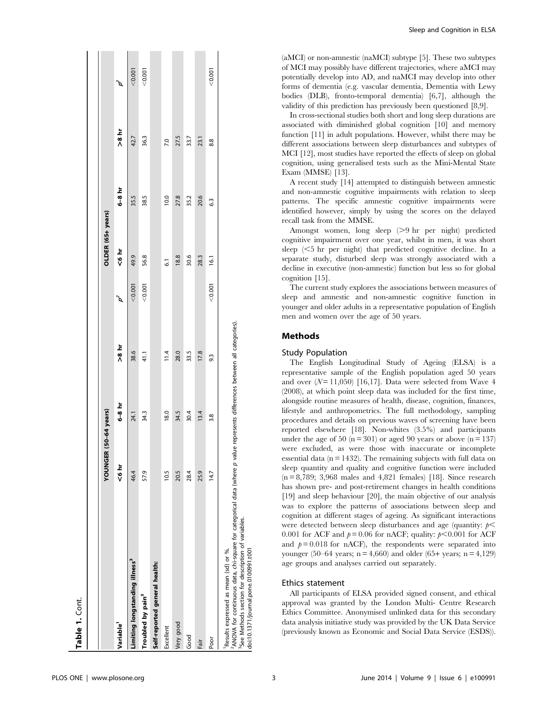|                                                                                                                                                                                                                                                  | YOUNGER | (50-64 years) |       |         | OLDER (65+ years) |                 |       |                    |
|--------------------------------------------------------------------------------------------------------------------------------------------------------------------------------------------------------------------------------------------------|---------|---------------|-------|---------|-------------------|-----------------|-------|--------------------|
| Variable <sup>1</sup>                                                                                                                                                                                                                            | $6 hr$  | $6-8$ hr      | iq 8< | ď       | نج 4⊌             | $6-8$ hr        | تم 8< | $\boldsymbol{p}^2$ |
| Limiting longstanding illness <sup>3</sup>                                                                                                                                                                                                       | 46.4    | 24.1          | 38.6  | < 0.001 | 49.9              | 35.5            | 42.7  | < 0.001            |
| Troubled by pain <sup>3</sup>                                                                                                                                                                                                                    | 57.9    | 34.3          | 41.1  | < 0.001 | 56.8              | 38.5            | 36.3  | < 0.001            |
| Self-reported general health:                                                                                                                                                                                                                    |         |               |       |         |                   |                 |       |                    |
| Excellent                                                                                                                                                                                                                                        | 10.5    | 18.0          | 11.4  |         | $\overline{6}$    | 10.0            | 7.0   |                    |
| Very good                                                                                                                                                                                                                                        | 20.5    | 34.5          | 28.0  |         | 18.8              | 27.8            | 27.5  |                    |
| Good                                                                                                                                                                                                                                             | 28.4    | 30.4          | 33.5  |         | 30.6              | 35.2            | 33.7  |                    |
| Fair                                                                                                                                                                                                                                             | 25.9    | 13.4          | 17.8  |         | 28.3              | 20.6            | 23.1  |                    |
| Poor                                                                                                                                                                                                                                             | 14.7    | 3.8           | 9.3   | < 0.001 | 16.1              | $6\overline{3}$ | 8.8   | < 0.001            |
| <sup>2</sup> ANOVA for continuous data, chi-square for categorical data (where p value represents differences between all categories).<br><sup>3</sup> See Methods section for description of variables.<br>Results expressed as mean (sd) or %. |         |               |       |         |                   |                 |       |                    |

(aMCI) or non-amnestic (naMCI) subtype [5]. These two subtypes of MCI may possibly have different trajectories, where aMCI may potentially develop into AD, and naMCI may develop into other forms of dementia (e.g. vascular dementia, Dementia with Lewy bodies (DLB), fronto-temporal dementia) [6,7], although the validity of this prediction has previously been questioned [8,9].

In cross-sectional studies both short and long sleep durations are associated with diminished global cognition [10] and memory function [11] in adult populations. However, whilst there may be different associations between sleep disturbances and subtypes of MCI [12], most studies have reported the effects of sleep on global cognition, using generalised tests such as the Mini-Mental State Exam (MMSE) [13].

A recent study [14] attempted to distinguish between amnestic and non-amnestic cognitive impairments with relation to sleep patterns. The specific amnestic cognitive impairments were identified however, simply by using the scores on the delayed recall task from the MMSE.

Amongst women, long sleep (>9 hr per night) predicted cognitive impairment over one year, whilst in men, it was short sleep  $(<5$  hr per night) that predicted cognitive decline. In a separate study, disturbed sleep was strongly associated with a decline in executive (non-amnestic) function but less so for global cognition [15].

The current study explores the associations between measures of sleep and amnestic and non-amnestic cognitive function in younger and older adults in a representative population of English men and women over the age of 50 years.

#### Methods

#### Study Population

The English Longitudinal Study of Ageing (ELSA) is a representative sample of the English population aged 50 years and over  $(N=11,050)$  [16,17]. Data were selected from Wave 4 (2008), at which point sleep data was included for the first time, alongside routine measures of health, disease, cognition, finances, lifestyle and anthropometrics. The full methodology, sampling procedures and details on previous waves of screening have been reported elsewhere [18]. Non-whites (3.5%) and participants under the age of 50 ( $n = 301$ ) or aged 90 years or above ( $n = 137$ ) were excluded, as were those with inaccurate or incomplete essential data ( $n = 1432$ ). The remaining subjects with full data on sleep quantity and quality and cognitive function were included (n = 8,789; 3,968 males and 4,821 females) [18]. Since research has shown pre- and post-retirement changes in health conditions [19] and sleep behaviour [20], the main objective of our analysis was to explore the patterns of associations between sleep and cognition at different stages of ageing. As significant interactions were detected between sleep disturbances and age (quantity:  $p$   $\leq$ 0.001 for ACF and  $p = 0.06$  for nACF; quality:  $p < 0.001$  for ACF and  $p = 0.018$  for nACF), the respondents were separated into younger (50–64 years;  $n = 4,660$ ) and older (65+ years;  $n = 4,129$ ) age groups and analyses carried out separately.

#### Ethics statement

All participants of ELSA provided signed consent, and ethical approval was granted by the London Multi- Centre Research Ethics Committee. Anonymised unlinked data for this secondary data analysis initiative study was provided by the UK Data Service (previously known as Economic and Social Data Service (ESDS)).

doi:10.1371/journal.pone.0100991.t001

doi:10.1371/journal.pone.0100991.t001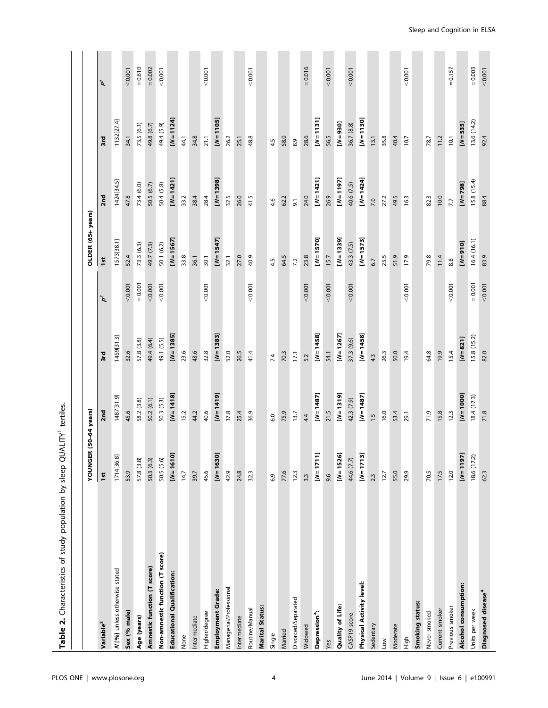| Characteristics of study population by sleep QUALITY <sup>1</sup> tertiles<br>$\dot{\mathbf{r}}$<br><b>Table</b> |              |               |              |                       |                   |                 |            |           |
|------------------------------------------------------------------------------------------------------------------|--------------|---------------|--------------|-----------------------|-------------------|-----------------|------------|-----------|
|                                                                                                                  | YOUNGER      | (50-64 years) |              |                       | OLDER (65+ years) |                 |            |           |
| Variable <sup>2</sup>                                                                                            | 1st          | 2nd           | 3rd          | $\boldsymbol{\rho}^3$ | 1st               | 2 <sub>nd</sub> | 3rd        | ʹ፩        |
| N [%] unless otherwise stated                                                                                    | 1714[36.8]   | 1487[31.9]    | 1459[31.3]   |                       | 1573[38.1]        | 1424[34.5]      | 1132[27.4] |           |
| Sex (% male)                                                                                                     | 53.9         | 45.6          | 32.6         | < 0.001               | 52.4              | 47.8            | 34.1       | < 0.001   |
| Age (years)                                                                                                      | 57.8 (3.8)   | 58.2 (3.8)    | 57.8 (3.8)   | $= 0.001$             | 73.3 (6.3)        | 73.4 (6.0)      | 73.5(6.1)  | $= 0.610$ |
| Amnestic function (T score)                                                                                      | 50.3 (6.3)   | 50.2 (6.1)    | 49.4 (6.4)   | < 0.001               | 49.7 (7.3)        | 50.5 (6.7)      | 49.8 (6.7) | $= 0.002$ |
| Non-amnestic function (T score)                                                                                  | 50.5 (5.6)   | 50.3 (5.3)    | 49.1 (5.5)   | < 0.001               | 50.1 (6.2)        | 50.4 (5.8)      | 49.4 (5.9) | 0.001     |
| Educational Qualification:                                                                                       | $[N=1610]$   | $[N=1418]$    | $[N = 1385]$ |                       | $[N=1567]$        | $[N=1421]$      | $[N=1124]$ |           |
| None                                                                                                             | 14.7         | 15.2          | 23.6         |                       | 33.8              | 33.2            | 44.1       |           |
| Intermediate                                                                                                     | 39.7         | 44.2          | 43.6         |                       | 36.1              | 38.4            | 34.8       |           |
| Higher/degree                                                                                                    | 45.6         | 40.6          | 32.8         | < 0.001               | 30.1              | 28.4            | 21.1       | 10000     |
| Employment Grade:                                                                                                | $[N=1630]$   | $[N=1419]$    | $[N=1383]$   |                       | $[N=1547]$        | $[N=1398]$      | $[N=1105]$ |           |
| Managerial/Professional                                                                                          | 42.9         | 37.8          | 32.0         |                       | 32.1              | 32.5            | 26.2       |           |
| Intermediate                                                                                                     | 24.8         | 25.4          | 26.5         |                       | 27.0              | 26.0            | 25.1       |           |
| Routine/Manual                                                                                                   | 32.3         | 36.9          | 41.4         | < 0.001               | 40.9              | 41.5            | 48.8       | 0.001     |
| Marital Status:                                                                                                  |              |               |              |                       |                   |                 |            |           |
| Single                                                                                                           | 6.9          | 6.0           | 7.4          |                       | 4.5               | 4.6             | 4.5        |           |
| Married                                                                                                          | 77.6         | 75.9          | 70.3         |                       | 64.5              | 62.2            | 58.0       |           |
| Divorced/Separated                                                                                               | 12.3         | 13.7          | 17,1         |                       | 7.2               | $\overline{9}$  | 8.9        |           |
| Widowed                                                                                                          | 3.3          | 4.4           | 5.2          | < 0.001               | 23.8              | 24.0            | 28.6       | $= 0.016$ |
| Depression <sup>4</sup> :                                                                                        | $[N = 1711]$ | $[N=1487]$    | $[N=1458]$   |                       | $[N=1570]$        | $[N=1421]$      | $[N=1131]$ |           |
| Yes                                                                                                              | 9.6          | 21.5          | 54.1         | < 0.001               | 15.7              | 26.9            | 56.5       | 0.001     |
| Quality of Life:                                                                                                 | $[N=1526]$   | $[N=1319]$    | $[N=1267]$   |                       | $[N=1339]$        | $[N=1197]$      | $[N=930]$  |           |
| CASP19 score                                                                                                     | 44.6 (7.7)   | 42.3 (7.9)    | 37.3 (9.6)   | < 0.001               | 43.3 (7.5)        | 40.6 (7.5)      | 36.7 (8.8) | < 0.001   |
| <b>Physical Activity level:</b>                                                                                  | $[N=1713]$   | $[N=1487]$    | $[N=1458]$   |                       | $[N=1573]$        | $[N=1424]$      | $[N=1130]$ |           |
| Sedentary                                                                                                        | 2.3          | $\ddot{.}$    | 4.3          |                       | 67                | 7.0             | 13.1       |           |
| <b>NOT</b>                                                                                                       | 12.7         | 16.0          | 26.3         |                       | 23.5              | 27.2            | 35.8       |           |
| Moderate                                                                                                         | 55.0         | 53.4          | 50.0         |                       | 51.9              | 49.5            | 40.4       |           |
| Нigh                                                                                                             | 29.9         | 29.1          | 19.4         | < 0.001               | 17.9              | 16.3            | 10.7       | 0.001     |
| Smoking status:                                                                                                  |              |               |              |                       |                   |                 |            |           |
| Never smoked                                                                                                     | 70.5         | 71.9          | 64.8         |                       | 79.8              | 82.3            | 78.7       |           |
| Current smoker                                                                                                   | 17.5         | 15.8          | 19.9         |                       | 11.4              | 10.0            | 11.2       |           |
| Previous smoker                                                                                                  | 12.0         | 12.3          | 15.4         | 0.001                 | 8.8               | 7.7             | 10.1       | $= 0.157$ |
| Alcohol consumption:                                                                                             | $[N=1197]$   | $[N=1000]$    | $[N=821]$    |                       | $[N=910]$         | $[N = 798]$     | $[N=535]$  |           |
| Units per week                                                                                                   | 18.6(17.2)   | 18.4(17.3)    | 15.8(15.2)   | $= 0.001$             | 16.4 (16.1)       | 15.8(15.4)      | 13.6(14.2) | $= 0.003$ |
| Diagnosed disease <sup>4</sup>                                                                                   | 62.3         | 71.8          | 82.0         | < 0.001               | 83.9              | 884             | 92.4       | 0.001     |
|                                                                                                                  |              |               |              |                       |                   |                 |            |           |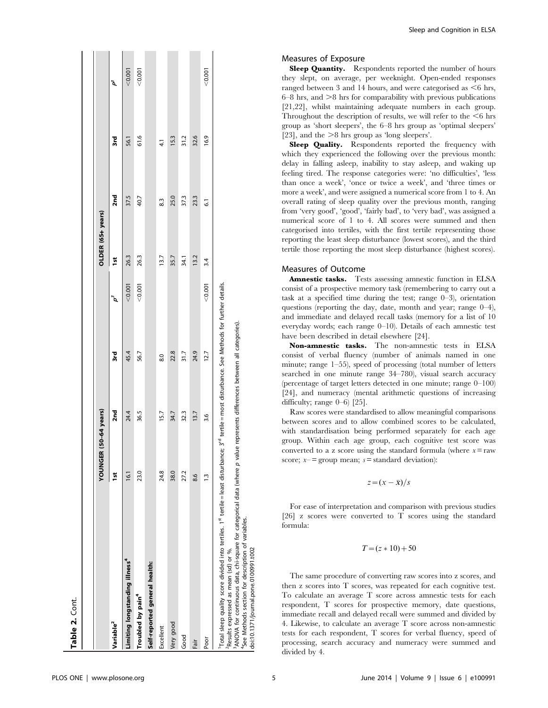|                                                                                                                                                                                                                                                                                                                                                                                                                                                                      | YOUNGER (50-64 years) |      |      |         | OLDER (65+ years) |                |               |         |
|----------------------------------------------------------------------------------------------------------------------------------------------------------------------------------------------------------------------------------------------------------------------------------------------------------------------------------------------------------------------------------------------------------------------------------------------------------------------|-----------------------|------|------|---------|-------------------|----------------|---------------|---------|
| Variable <sup>2</sup>                                                                                                                                                                                                                                                                                                                                                                                                                                                | $\frac{5}{2}$         | 2nd  | 3rd  | þ       | ă                 | 2nd            | 3rd           | گی      |
| Limiting longstanding illness <sup>4</sup>                                                                                                                                                                                                                                                                                                                                                                                                                           | $-16.1$               | 24.4 | 45.4 | < 0.001 | 26.3              | 37.5           | 56.1          | < 0.001 |
| Troubled by pain <sup>4</sup>                                                                                                                                                                                                                                                                                                                                                                                                                                        | 23.0                  | 36.5 | 56.7 | 0.007   | 26.3              | 40.7           | 61.6          | 0.001   |
| Self-reported general health:                                                                                                                                                                                                                                                                                                                                                                                                                                        |                       |      |      |         |                   |                |               |         |
| Excellent                                                                                                                                                                                                                                                                                                                                                                                                                                                            | 24.8                  | 15.7 | 8.0  |         | 13.7              | 83             | $\frac{1}{4}$ |         |
| Very good                                                                                                                                                                                                                                                                                                                                                                                                                                                            | 38.0                  | 34.7 | 22.8 |         | 35.7              | 25.0           | 15.3          |         |
| Good                                                                                                                                                                                                                                                                                                                                                                                                                                                                 | 27.2                  | 32.3 | 31.7 |         | 34.1              | 37.3           | 31.2          |         |
| Fair                                                                                                                                                                                                                                                                                                                                                                                                                                                                 | 8.6                   | 13.7 | 24.9 |         | 13.2              | 23.3           | 32.6          |         |
| Poor                                                                                                                                                                                                                                                                                                                                                                                                                                                                 | $\frac{3}{2}$         | 3.6  | 12.7 | < 0.001 | 3.4               | $\overline{6}$ | 16.9          | < 0.001 |
| Total sleep quality score divided into tertiles. 1 <sup>st</sup> tertile=least disturbance; 3 <sup>rd</sup> tertile=most disturbance. See Methods for further details.<br><sup>3</sup> ANOVA for continuous data, chi-square for categorical data (where p value represents differences between all categories).<br>4See Methods section for description of variables.<br><sup>2</sup> Results expressed as mean (sd) or %.<br>doi:10.1371/journal.pone.0100991.t002 |                       |      |      |         |                   |                |               |         |

Measures of Exposure

Sleep **Quantity.** Respondents reported the number of hours they slept, on average, per weeknight. Open-ended responses ranged between 3 and 14 hours, and were categorised as  $\leq 6$  hrs,  $6-8$  hrs, and  $>8$  hrs for comparability with previous publications [21,22], whilst maintaining adequate numbers in each group. Throughout the description of results, we will refer to the  $<6$  hrs group as 'short sleepers', the 6–8 hrs group as 'optimal sleepers' [23], and the  $>8$  hrs group as 'long sleepers'.

Sleep **Quality.** Respondents reported the frequency with which they experienced the following over the previous month: delay in falling asleep, inability to stay asleep, and waking up feeling tired. The response categories were: 'no difficulties', 'less than once a week', 'once or twice a week', and 'three times or more a week', and were assigned a numerical score from 1 to 4. An overall rating of sleep quality over the previous month, ranging from 'very good', 'good', 'fairly bad', to 'very bad', was assigned a numerical score of 1 to 4. All scores were summed and then categorised into tertiles, with the first tertile representing those reporting the least sleep disturbance (lowest scores), and the third tertile those reporting the most sleep disturbance (highest scores).

#### Measures of Outcome

Amnestic tasks. Tests assessing amnestic function in ELSA consist of a prospective memory task (remembering to carry out a task at a specified time during the test; range  $0-3$ ), orientation questions (reporting the day, date, month and year; range 0–4), and immediate and delayed recall tasks (memory for a list of 10 everyday words; each range 0–10). Details of each amnestic test have been described in detail elsewhere [24].

Non-amnestic tasks. The non-amnestic tests in ELSA consist of verbal fluency (number of animals named in one minute; range 1–55), speed of processing (total number of letters searched in one minute range 34–780), visual search accuracy (percentage of target letters detected in one minute; range 0–100) [24], and numeracy (mental arithmetic questions of increasing difficulty; range  $0-6$  [25].

Raw scores were standardised to allow meaningful comparisons between scores and to allow combined scores to be calculated, with standardisation being performed separately for each age group. Within each age group, each cognitive test score was converted to a z score using the standard formula (where  $x = raw$ score;  $x$ –= group mean;  $s$ = standard deviation):

$$
z = (x - \bar{x})/s
$$

For ease of interpretation and comparison with previous studies [26] z scores were converted to T scores using the standard formula:

$$
T = (z \times 10) + 50
$$

The same procedure of converting raw scores into z scores, and then z scores into T scores, was repeated for each cognitive test. To calculate an average T score across amnestic tests for each respondent, T scores for prospective memory, date questions, immediate recall and delayed recall were summed and divided by 4. Likewise, to calculate an average T score across non-amnestic tests for each respondent, T scores for verbal fluency, speed of processing, search accuracy and numeracy were summed and divided by 4.

Table 2. Cont.

Table 2. Cont.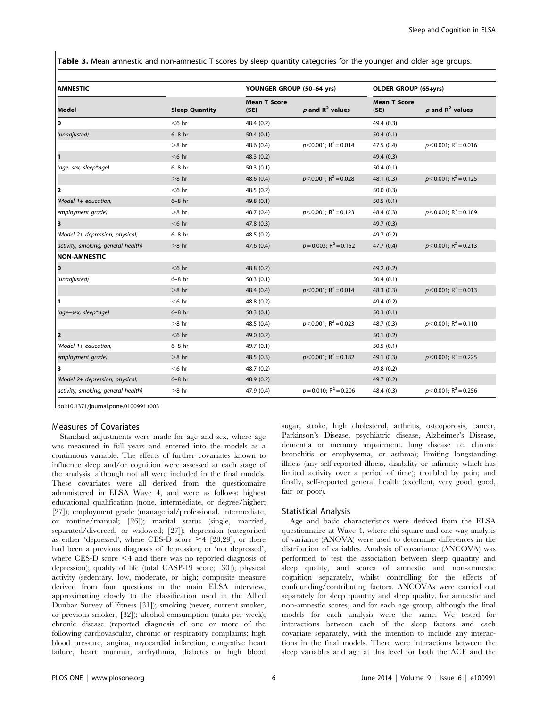Table 3. Mean amnestic and non-amnestic T scores by sleep quantity categories for the younger and older age groups.

| <b>AMNESTIC</b>                    |                       | YOUNGER GROUP (50-64 yrs)   |                                      | <b>OLDER GROUP (65+yrs)</b> |                                    |
|------------------------------------|-----------------------|-----------------------------|--------------------------------------|-----------------------------|------------------------------------|
| <b>Model</b>                       | <b>Sleep Quantity</b> | <b>Mean T Score</b><br>(SE) | $p$ and $R^2$ values                 | <b>Mean T Score</b><br>(SE) | $p$ and $R^2$ values               |
| $\mathbf 0$                        | $<$ 6 hr              | 48.4 (0.2)                  |                                      | 49.4 (0.3)                  |                                    |
| (unadjusted)                       | $6-8$ hr              | 50.4(0.1)                   |                                      | 50.4(0.1)                   |                                    |
|                                    | $>8$ hr               | 48.6 (0.4)                  | $p<0.001$ ; R <sup>2</sup> = 0.014   | 47.5 (0.4)                  | $p<0.001$ ; R <sup>2</sup> = 0.016 |
| $\mathbf{1}$                       | $<$ 6 hr              | 48.3 (0.2)                  |                                      | 49.4(0.3)                   |                                    |
| (age+sex, sleep*age)               | $6-8$ hr              | 50.3(0.1)                   |                                      | 50.4(0.1)                   |                                    |
|                                    | $>8$ hr               | 48.6 (0.4)                  | $p<0.001$ ; R <sup>2</sup> = 0.028   | 48.1(0.3)                   | $p<0.001$ ; R <sup>2</sup> = 0.125 |
| $\overline{\mathbf{2}}$            | $<$ 6 hr              | 48.5 (0.2)                  |                                      | 50.0(0.3)                   |                                    |
| (Model 1+ education,               | $6-8$ hr              | 49.8 (0.1)                  |                                      | 50.5(0.1)                   |                                    |
| employment grade)                  | $>8$ hr               | 48.7 (0.4)                  | $p<$ 0.001; R <sup>2</sup> = 0.123   | 48.4 (0.3)                  | $p<0.001$ ; R <sup>2</sup> = 0.189 |
| 3                                  | $<$ 6 hr              | 47.8 (0.3)                  |                                      | 49.7 (0.3)                  |                                    |
| (Model 2+ depression, physical,    | $6-8$ hr              | 48.5 (0.2)                  |                                      | 49.7 (0.2)                  |                                    |
| activity, smoking, general health) | $>8$ hr               | 47.6 (0.4)                  | $p = 0.003$ ; R <sup>2</sup> = 0.152 | 47.7(0.4)                   | $p<0.001$ ; R <sup>2</sup> = 0.213 |
| <b>NON-AMNESTIC</b>                |                       |                             |                                      |                             |                                    |
| $\mathbf{o}$                       | $<$ 6 hr              | 48.8 (0.2)                  |                                      | 49.2 (0.2)                  |                                    |
| (unadjusted)                       | $6-8$ hr              | 50.3(0.1)                   |                                      | 50.4(0.1)                   |                                    |
|                                    | $>8$ hr               | 48.4 (0.4)                  | $p<0.001$ ; R <sup>2</sup> = 0.014   | 48.3(0.3)                   | $p<0.001$ ; R <sup>2</sup> = 0.013 |
| 1                                  | $<$ 6 hr              | 48.8 (0.2)                  |                                      | 49.4 (0.2)                  |                                    |
| (age+sex, sleep*age)               | $6-8$ hr              | 50.3(0.1)                   |                                      | 50.3(0.1)                   |                                    |
|                                    | $>8$ hr               | 48.5 (0.4)                  | $p<0.001$ ; R <sup>2</sup> = 0.023   | 48.7 (0.3)                  | $p<0.001$ ; R <sup>2</sup> = 0.110 |
| 2                                  | $<$ 6 hr              | 49.0 (0.2)                  |                                      | 50.1(0.2)                   |                                    |
| (Model 1+ education,               | $6-8$ hr              | 49.7 (0.1)                  |                                      | 50.5(0.1)                   |                                    |
| employment grade)                  | $>8$ hr               | 48.5(0.3)                   | $p<0.001$ ; R <sup>2</sup> = 0.182   | 49.1(0.3)                   | $p<0.001$ ; R <sup>2</sup> = 0.225 |
| 3                                  | $<$ 6 hr              | 48.7 (0.2)                  |                                      | 49.8 (0.2)                  |                                    |
| (Model 2+ depression, physical,    | $6-8$ hr              | 48.9(0.2)                   |                                      | 49.7 (0.2)                  |                                    |
| activity, smoking, general health) | $>8$ hr               | 47.9 (0.4)                  | $p = 0.010$ ; R <sup>2</sup> = 0.206 | 48.4(0.3)                   | $p<0.001$ ; R <sup>2</sup> = 0.256 |

doi:10.1371/journal.pone.0100991.t003

#### Measures of Covariates

Standard adjustments were made for age and sex, where age was measured in full years and entered into the models as a continuous variable. The effects of further covariates known to influence sleep and/or cognition were assessed at each stage of the analysis, although not all were included in the final models. These covariates were all derived from the questionnaire administered in ELSA Wave 4, and were as follows: highest educational qualification (none, intermediate, or degree/higher; [27]); employment grade (managerial/professional, intermediate, or routine/manual; [26]); marital status (single, married, separated/divorced, or widowed; [27]); depression (categorised as either 'depressed', where CES-D score  $\geq 4$  [28,29], or there had been a previous diagnosis of depression; or 'not depressed', where CES-D score  $\leq 4$  and there was no reported diagnosis of depression); quality of life (total CASP-19 score; [30]); physical activity (sedentary, low, moderate, or high; composite measure derived from four questions in the main ELSA interview, approximating closely to the classification used in the Allied Dunbar Survey of Fitness [31]); smoking (never, current smoker, or previous smoker; [32]); alcohol consumption (units per week); chronic disease (reported diagnosis of one or more of the following cardiovascular, chronic or respiratory complaints; high blood pressure, angina, myocardial infarction, congestive heart failure, heart murmur, arrhythmia, diabetes or high blood sugar, stroke, high cholesterol, arthritis, osteoporosis, cancer, Parkinson's Disease, psychiatric disease, Alzheimer's Disease, dementia or memory impairment, lung disease i.e. chronic bronchitis or emphysema, or asthma); limiting longstanding illness (any self-reported illness, disability or infirmity which has limited activity over a period of time); troubled by pain; and finally, self-reported general health (excellent, very good, good, fair or poor).

#### Statistical Analysis

Age and basic characteristics were derived from the ELSA questionnaire at Wave 4, where chi-square and one-way analysis of variance (ANOVA) were used to determine differences in the distribution of variables. Analysis of covariance (ANCOVA) was performed to test the association between sleep quantity and sleep quality, and scores of amnestic and non-amnestic cognition separately, whilst controlling for the effects of confounding/contributing factors. ANCOVAs were carried out separately for sleep quantity and sleep quality, for amnestic and non-amnestic scores, and for each age group, although the final models for each analysis were the same. We tested for interactions between each of the sleep factors and each covariate separately, with the intention to include any interactions in the final models. There were interactions between the sleep variables and age at this level for both the ACF and the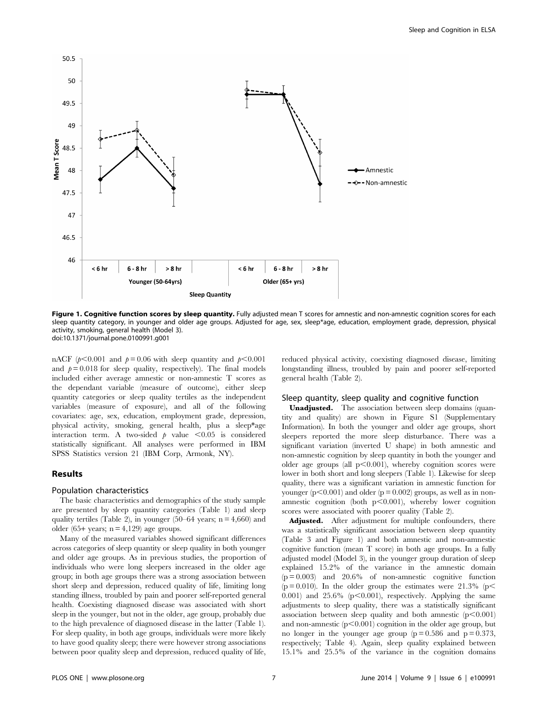

Figure 1. Cognitive function scores by sleep quantity. Fully adjusted mean T scores for amnestic and non-amnestic cognition scores for each sleep quantity category, in younger and older age groups. Adjusted for age, sex, sleep\*age, education, employment grade, depression, physical activity, smoking, general health (Model 3). doi:10.1371/journal.pone.0100991.g001

nACF ( $p<0.001$  and  $p=0.06$  with sleep quantity and  $p<0.001$ and  $p = 0.018$  for sleep quality, respectively). The final models included either average amnestic or non-amnestic T scores as the dependant variable (measure of outcome), either sleep quantity categories or sleep quality tertiles as the independent variables (measure of exposure), and all of the following covariates: age, sex, education, employment grade, depression, physical activity, smoking, general health, plus a sleep\*age interaction term. A two-sided  $p$  value <0.05 is considered statistically significant. All analyses were performed in IBM SPSS Statistics version 21 (IBM Corp, Armonk, NY).

#### Results

#### Population characteristics

The basic characteristics and demographics of the study sample are presented by sleep quantity categories (Table 1) and sleep quality tertiles (Table 2), in younger (50–64 years;  $n = 4,660$ ) and older (65+ years;  $n = 4,129$ ) age groups.

Many of the measured variables showed significant differences across categories of sleep quantity or sleep quality in both younger and older age groups. As in previous studies, the proportion of individuals who were long sleepers increased in the older age group; in both age groups there was a strong association between short sleep and depression, reduced quality of life, limiting long standing illness, troubled by pain and poorer self-reported general health. Coexisting diagnosed disease was associated with short sleep in the younger, but not in the older, age group, probably due to the high prevalence of diagnosed disease in the latter (Table 1). For sleep quality, in both age groups, individuals were more likely to have good quality sleep; there were however strong associations between poor quality sleep and depression, reduced quality of life,

reduced physical activity, coexisting diagnosed disease, limiting longstanding illness, troubled by pain and poorer self-reported general health (Table 2).

#### Sleep quantity, sleep quality and cognitive function

Unadjusted. The association between sleep domains (quantity and quality) are shown in Figure S1 (Supplementary Information). In both the younger and older age groups, short sleepers reported the more sleep disturbance. There was a significant variation (inverted U shape) in both amnestic and non-amnestic cognition by sleep quantity in both the younger and older age groups (all  $p<0.001$ ), whereby cognition scores were lower in both short and long sleepers (Table 1). Likewise for sleep quality, there was a significant variation in amnestic function for younger ( $p<0.001$ ) and older ( $p = 0.002$ ) groups, as well as in nonamnestic cognition (both  $p<0.001$ ), whereby lower cognition scores were associated with poorer quality (Table 2).

Adjusted. After adjustment for multiple confounders, there was a statistically significant association between sleep quantity (Table 3 and Figure 1) and both amnestic and non-amnestic cognitive function (mean T score) in both age groups. In a fully adjusted model (Model 3), in the younger group duration of sleep explained 15.2% of the variance in the amnestic domain  $(p=0.003)$  and 20.6% of non-amnestic cognitive function ( $p = 0.010$ ). In the older group the estimates were 21.3% ( $p$ 0.001) and 25.6% ( $p<0.001$ ), respectively. Applying the same adjustments to sleep quality, there was a statistically significant association between sleep quality and both amnestic  $(p<0.001)$ and non-amnestic  $(p<0.001)$  cognition in the older age group, but no longer in the younger age group  $(p=0.586$  and  $p=0.373$ , respectively; Table 4). Again, sleep quality explained between 15.1% and 25.5% of the variance in the cognition domains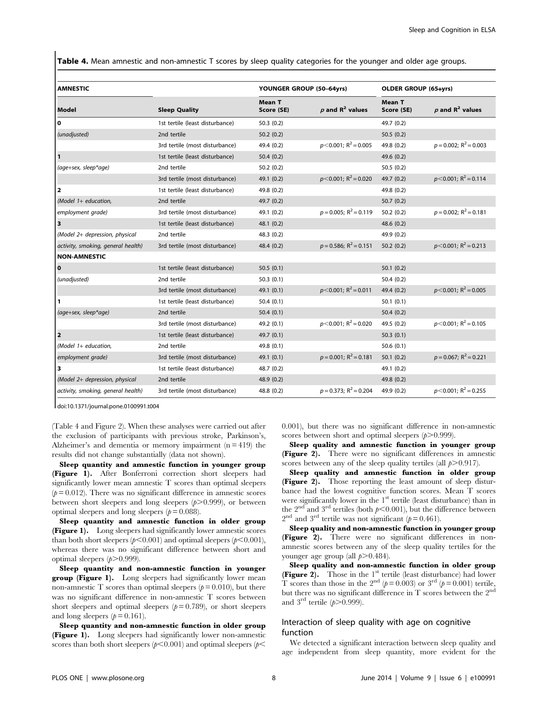Table 4. Mean amnestic and non-amnestic T scores by sleep quality categories for the younger and older age groups.

| <b>AMNESTIC</b>                    |                                 | YOUNGER GROUP (50-64yrs)    |                                      | <b>OLDER GROUP (65+yrs)</b> |                                      |
|------------------------------------|---------------------------------|-----------------------------|--------------------------------------|-----------------------------|--------------------------------------|
| Model                              | <b>Sleep Quality</b>            | <b>Mean T</b><br>Score (SE) | $p$ and $R^2$ values                 | <b>Mean T</b><br>Score (SE) | $p$ and $R^2$ values                 |
| ١o                                 | 1st tertile (least disturbance) | 50.3(0.2)                   |                                      | 49.7 (0.2)                  |                                      |
| (unadjusted)                       | 2nd tertile                     | 50.2(0.2)                   |                                      | 50.5(0.2)                   |                                      |
|                                    | 3rd tertile (most disturbance)  | 49.4 (0.2)                  | $p<0.001$ ; R <sup>2</sup> = 0.005   | 49.8 (0.2)                  | $p = 0.002$ ; R <sup>2</sup> = 0.003 |
| $\mathbf{1}$                       | 1st tertile (least disturbance) | 50.4(0.2)                   |                                      | 49.6 (0.2)                  |                                      |
| (age+sex, sleep*age)               | 2nd tertile                     | 50.2(0.2)                   |                                      | 50.5(0.2)                   |                                      |
|                                    | 3rd tertile (most disturbance)  | 49.1 (0.2)                  | $p<0.001$ ; R <sup>2</sup> = 0.020   | 49.7 (0.2)                  | $p<0.001$ ; R <sup>2</sup> = 0.114   |
| 2                                  | 1st tertile (least disturbance) | 49.8 (0.2)                  |                                      | 49.8 (0.2)                  |                                      |
| (Model 1+ education,               | 2nd tertile                     | 49.7 (0.2)                  |                                      | 50.7(0.2)                   |                                      |
| employment grade)                  | 3rd tertile (most disturbance)  | 49.1 (0.2)                  | $p = 0.005$ ; R <sup>2</sup> = 0.119 | 50.2(0.2)                   | $p = 0.002$ ; R <sup>2</sup> = 0.181 |
| 3                                  | 1st tertile (least disturbance) | 48.1 (0.2)                  |                                      | 48.6 (0.2)                  |                                      |
| (Model 2+ depression, physical     | 2nd tertile                     | 48.3 (0.2)                  |                                      | 49.9 (0.2)                  |                                      |
| activity, smoking, general health) | 3rd tertile (most disturbance)  | 48.4(0.2)                   | $p = 0.586$ ; R <sup>2</sup> = 0.151 | 50.2(0.2)                   | $p<0.001$ ; R <sup>2</sup> = 0.213   |
| <b>NON-AMNESTIC</b>                |                                 |                             |                                      |                             |                                      |
| 0                                  | 1st tertile (least disturbance) | 50.5(0.1)                   |                                      | 50.1(0.2)                   |                                      |
| (unadjusted)                       | 2nd tertile                     | 50.3(0.1)                   |                                      | 50.4(0.2)                   |                                      |
|                                    | 3rd tertile (most disturbance)  | 49.1 (0.1)                  | $p<0.001$ ; R <sup>2</sup> = 0.011   | 49.4 (0.2)                  | $p<0.001$ ; R <sup>2</sup> = 0.005   |
| $\mathbf{1}$                       | 1st tertile (least disturbance) | 50.4(0.1)                   |                                      | 50.1(0.1)                   |                                      |
| (age+sex, sleep*age)               | 2nd tertile                     | 50.4(0.1)                   |                                      | 50.4(0.2)                   |                                      |
|                                    | 3rd tertile (most disturbance)  | 49.2 (0.1)                  | $p<0.001$ ; R <sup>2</sup> = 0.020   | 49.5 (0.2)                  | $p<0.001$ ; R <sup>2</sup> = 0.105   |
| 2                                  | 1st tertile (least disturbance) | 49.7 (0.1)                  |                                      | 50.3(0.1)                   |                                      |
| (Model $1+$ education,             | 2nd tertile                     | 49.8 (0.1)                  |                                      | 50.6(0.1)                   |                                      |
| employment grade)                  | 3rd tertile (most disturbance)  | 49.1(0.1)                   | $p = 0.001$ ; R <sup>2</sup> = 0.181 | 50.1(0.2)                   | $p = 0.067$ ; R <sup>2</sup> = 0.221 |
| 3                                  | 1st tertile (least disturbance) | 48.7 (0.2)                  |                                      | 49.1 (0.2)                  |                                      |
| (Model 2+ depression, physical     | 2nd tertile                     | 48.9 (0.2)                  |                                      | 49.8 (0.2)                  |                                      |
| activity, smoking, general health) | 3rd tertile (most disturbance)  | 48.8 (0.2)                  | $p = 0.373$ ; R <sup>2</sup> = 0.204 | 49.9 (0.2)                  | $p<0.001$ ; R <sup>2</sup> = 0.255   |

doi:10.1371/journal.pone.0100991.t004

(Table 4 and Figure 2). When these analyses were carried out after the exclusion of participants with previous stroke, Parkinson's, Alzheimer's and dementia or memory impairment  $(n = 419)$  the results did not change substantially (data not shown).

Sleep quantity and amnestic function in younger group (Figure 1). After Bonferroni correction short sleepers had significantly lower mean amnestic T scores than optimal sleepers  $(p= 0.012)$ . There was no significant difference in amnestic scores between short sleepers and long sleepers  $(p>0.999)$ , or between optimal sleepers and long sleepers ( $p = 0.088$ ).

Sleep quantity and amnestic function in older group (Figure 1). Long sleepers had significantly lower amnestic scores than both short sleepers ( $p<0.001$ ) and optimal sleepers ( $p<0.001$ ), whereas there was no significant difference between short and optimal sleepers  $(p>0.999)$ .

Sleep quantity and non-amnestic function in younger **group (Figure 1).** Long sleepers had significantly lower mean non-amnestic T scores than optimal sleepers  $(p= 0.010)$ , but there was no significant difference in non-amnestic T scores between short sleepers and optimal sleepers  $(p= 0.789)$ , or short sleepers and long sleepers  $(p= 0.161)$ .

Sleep quantity and non-amnestic function in older group (Figure 1). Long sleepers had significantly lower non-amnestic scores than both short sleepers ( $p$ <0.001) and optimal sleepers ( $p$ <

0.001), but there was no significant difference in non-amnestic scores between short and optimal sleepers  $(p>0.999)$ .

Sleep quality and amnestic function in younger group (Figure 2). There were no significant differences in amnestic scores between any of the sleep quality tertiles (all  $p > 0.917$ ).

Sleep quality and amnestic function in older group **(Figure 2).** Those reporting the least amount of sleep disturbance had the lowest cognitive function scores. Mean T scores were significantly lower in the  $1<sup>st</sup>$  tertile (least disturbance) than in the  $2<sup>nd</sup>$  and  $3<sup>rd</sup>$  tertiles (both  $p<0.001$ ), but the difference between  $2<sup>nd</sup>$  and  $3<sup>rd</sup>$  tertile was not significant ( $p = 0.461$ ).

Sleep quality and non-amnestic function in younger group (Figure 2). There were no significant differences in nonamnestic scores between any of the sleep quality tertiles for the younger age group (all  $p > 0.484$ ).

Sleep quality and non-amnestic function in older group **(Figure 2).** Those in the  $1<sup>st</sup>$  tertile (least disturbance) had lower T scores than those in the  $2<sup>nd</sup> (p=0.003)$  or  $3<sup>rd</sup> (p=0.001)$  tertile, but there was no significant difference in T scores between the  $2<sup>nd</sup>$ and  $3^{\text{rd}}$  tertile ( $p$ >0.999).

#### Interaction of sleep quality with age on cognitive function

We detected a significant interaction between sleep quality and age independent from sleep quantity, more evident for the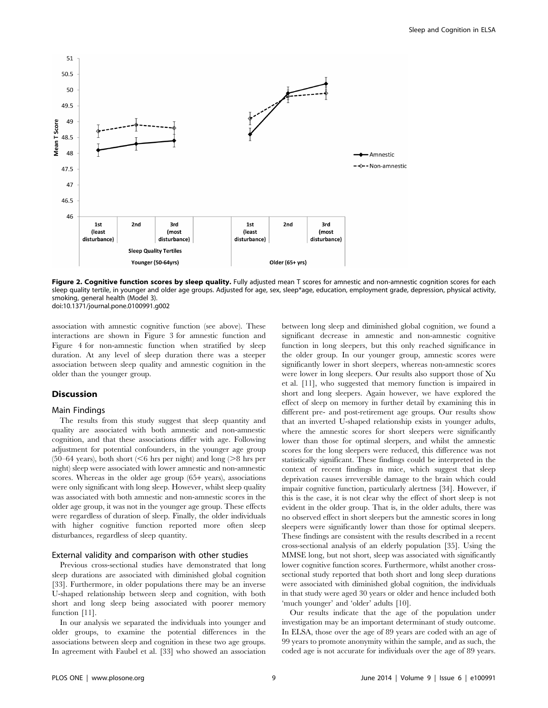

Figure 2. Cognitive function scores by sleep quality. Fully adjusted mean T scores for amnestic and non-amnestic cognition scores for each sleep quality tertile, in younger and older age groups. Adjusted for age, sex, sleep\*age, education, employment grade, depression, physical activity, smoking, general health (Model 3). doi:10.1371/journal.pone.0100991.g002

association with amnestic cognitive function (see above). These interactions are shown in Figure 3 for amnestic function and Figure 4 for non-amnestic function when stratified by sleep duration. At any level of sleep duration there was a steeper association between sleep quality and amnestic cognition in the older than the younger group.

#### **Discussion**

#### Main Findings

The results from this study suggest that sleep quantity and quality are associated with both amnestic and non-amnestic cognition, and that these associations differ with age. Following adjustment for potential confounders, in the younger age group (50–64 years), both short ( $<$ 6 hrs per night) and long ( $>$ 8 hrs per night) sleep were associated with lower amnestic and non-amnestic scores. Whereas in the older age group (65+ years), associations were only significant with long sleep. However, whilst sleep quality was associated with both amnestic and non-amnestic scores in the older age group, it was not in the younger age group. These effects were regardless of duration of sleep. Finally, the older individuals with higher cognitive function reported more often sleep disturbances, regardless of sleep quantity.

#### External validity and comparison with other studies

Previous cross-sectional studies have demonstrated that long sleep durations are associated with diminished global cognition [33]. Furthermore, in older populations there may be an inverse U-shaped relationship between sleep and cognition, with both short and long sleep being associated with poorer memory function [11].

In our analysis we separated the individuals into younger and older groups, to examine the potential differences in the associations between sleep and cognition in these two age groups. In agreement with Faubel et al. [33] who showed an association between long sleep and diminished global cognition, we found a significant decrease in amnestic and non-amnestic cognitive function in long sleepers, but this only reached significance in the older group. In our younger group, amnestic scores were significantly lower in short sleepers, whereas non-amnestic scores were lower in long sleepers. Our results also support those of Xu et al. [11], who suggested that memory function is impaired in short and long sleepers. Again however, we have explored the effect of sleep on memory in further detail by examining this in different pre- and post-retirement age groups. Our results show that an inverted U-shaped relationship exists in younger adults, where the amnestic scores for short sleepers were significantly lower than those for optimal sleepers, and whilst the amnestic scores for the long sleepers were reduced, this difference was not statistically significant. These findings could be interpreted in the context of recent findings in mice, which suggest that sleep deprivation causes irreversible damage to the brain which could impair cognitive function, particularly alertness [34]. However, if this is the case, it is not clear why the effect of short sleep is not evident in the older group. That is, in the older adults, there was no observed effect in short sleepers but the amnestic scores in long sleepers were significantly lower than those for optimal sleepers. These findings are consistent with the results described in a recent cross-sectional analysis of an elderly population [35]. Using the MMSE long, but not short, sleep was associated with significantly lower cognitive function scores. Furthermore, whilst another crosssectional study reported that both short and long sleep durations were associated with diminished global cognition, the individuals in that study were aged 30 years or older and hence included both 'much younger' and 'older' adults [10].

Our results indicate that the age of the population under investigation may be an important determinant of study outcome. In ELSA, those over the age of 89 years are coded with an age of 99 years to promote anonymity within the sample, and as such, the coded age is not accurate for individuals over the age of 89 years.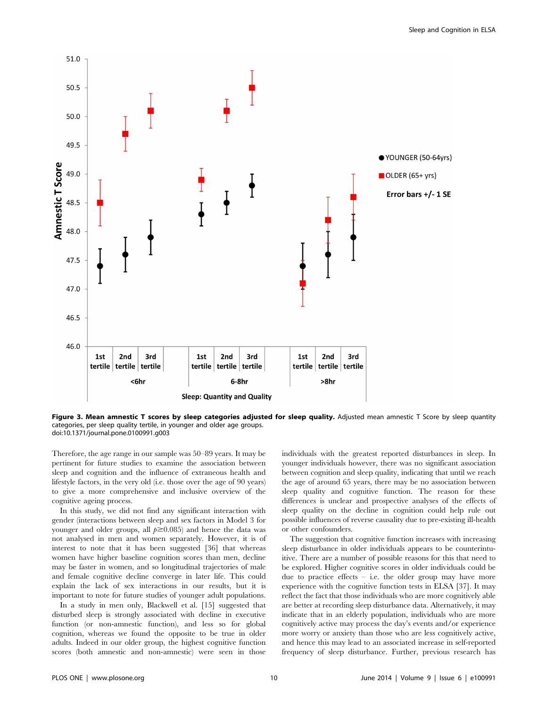

Figure 3. Mean amnestic T scores by sleep categories adjusted for sleep quality. Adjusted mean amnestic T Score by sleep quantity categories, per sleep quality tertile, in younger and older age groups. doi:10.1371/journal.pone.0100991.g003

Therefore, the age range in our sample was 50–89 years. It may be pertinent for future studies to examine the association between sleep and cognition and the influence of extraneous health and lifestyle factors, in the very old (i.e. those over the age of 90 years) to give a more comprehensive and inclusive overview of the cognitive ageing process.

In this study, we did not find any significant interaction with gender (interactions between sleep and sex factors in Model 3 for younger and older groups, all  $p \ge 0.085$ ) and hence the data was not analysed in men and women separately. However, it is of interest to note that it has been suggested [36] that whereas women have higher baseline cognition scores than men, decline may be faster in women, and so longitudinal trajectories of male and female cognitive decline converge in later life. This could explain the lack of sex interactions in our results, but it is important to note for future studies of younger adult populations.

In a study in men only, Blackwell et al. [15] suggested that disturbed sleep is strongly associated with decline in executive function (or non-amnestic function), and less so for global cognition, whereas we found the opposite to be true in older adults. Indeed in our older group, the highest cognitive function scores (both amnestic and non-amnestic) were seen in those

individuals with the greatest reported disturbances in sleep. In younger individuals however, there was no significant association between cognition and sleep quality, indicating that until we reach the age of around 65 years, there may be no association between sleep quality and cognitive function. The reason for these differences is unclear and prospective analyses of the effects of sleep quality on the decline in cognition could help rule out possible influences of reverse causality due to pre-existing ill-health or other confounders.

The suggestion that cognitive function increases with increasing sleep disturbance in older individuals appears to be counterintuitive. There are a number of possible reasons for this that need to be explored. Higher cognitive scores in older individuals could be due to practice effects  $-$  i.e. the older group may have more experience with the cognitive function tests in ELSA [37]. It may reflect the fact that those individuals who are more cognitively able are better at recording sleep disturbance data. Alternatively, it may indicate that in an elderly population, individuals who are more cognitively active may process the day's events and/or experience more worry or anxiety than those who are less cognitively active, and hence this may lead to an associated increase in self-reported frequency of sleep disturbance. Further, previous research has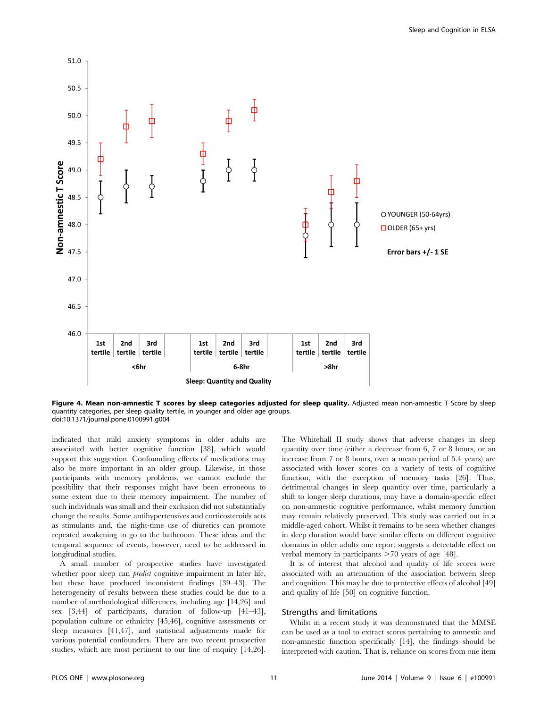

Figure 4. Mean non-amnestic T scores by sleep categories adjusted for sleep quality. Adjusted mean non-amnestic T Score by sleep quantity categories, per sleep quality tertile, in younger and older age groups. doi:10.1371/journal.pone.0100991.g004

indicated that mild anxiety symptoms in older adults are associated with better cognitive function [38], which would support this suggestion. Confounding effects of medications may also be more important in an older group. Likewise, in those participants with memory problems, we cannot exclude the possibility that their responses might have been erroneous to some extent due to their memory impairment. The number of such individuals was small and their exclusion did not substantially change the results. Some antihypertensives and corticosteroids acts as stimulants and, the night-time use of diuretics can promote repeated awakening to go to the bathroom. These ideas and the temporal sequence of events, however, need to be addressed in longitudinal studies.

A small number of prospective studies have investigated whether poor sleep can *predict* cognitive impairment in later life, but these have produced inconsistent findings [39–43]. The heterogeneity of results between these studies could be due to a number of methodological differences, including age [14,26] and sex [3,44] of participants, duration of follow-up [41–43], population culture or ethnicity [45,46], cognitive assessments or sleep measures [41,47], and statistical adjustments made for various potential confounders. There are two recent prospective studies, which are most pertinent to our line of enquiry [14,26].

The Whitehall II study shows that adverse changes in sleep quantity over time (either a decrease from 6, 7 or 8 hours, or an increase from 7 or 8 hours, over a mean period of 5.4 years) are associated with lower scores on a variety of tests of cognitive function, with the exception of memory tasks [26]. Thus, detrimental changes in sleep quantity over time, particularly a shift to longer sleep durations, may have a domain-specific effect on non-amnestic cognitive performance, whilst memory function may remain relatively preserved. This study was carried out in a middle-aged cohort. Whilst it remains to be seen whether changes in sleep duration would have similar effects on different cognitive domains in older adults one report suggests a detectable effect on verbal memory in participants  $>70$  years of age [48].

It is of interest that alcohol and quality of life scores were associated with an attenuation of the association between sleep and cognition. This may be due to protective effects of alcohol [49] and quality of life [50] on cognitive function.

#### Strengths and limitations

Whilst in a recent study it was demonstrated that the MMSE can be used as a tool to extract scores pertaining to amnestic and non-amnestic function specifically [14], the findings should be interpreted with caution. That is, reliance on scores from one item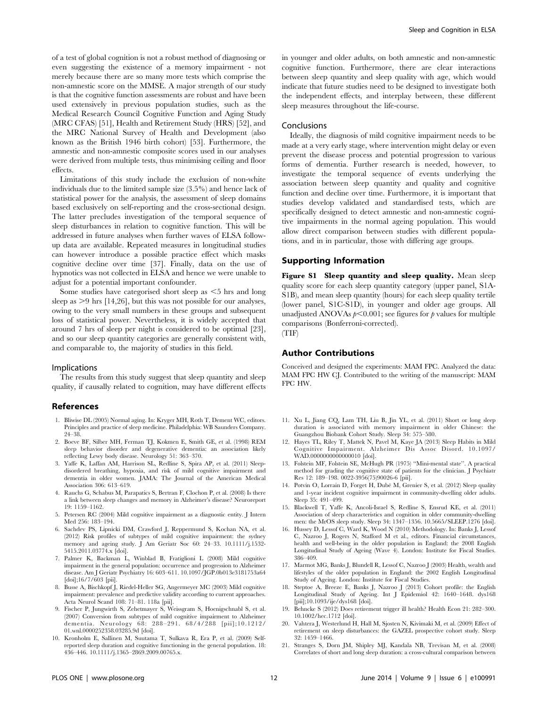of a test of global cognition is not a robust method of diagnosing or even suggesting the existence of a memory impairment - not merely because there are so many more tests which comprise the non-amnestic score on the MMSE. A major strength of our study is that the cognitive function assessments are robust and have been used extensively in previous population studies, such as the Medical Research Council Cognitive Function and Aging Study (MRC CFAS) [51], Health and Retirement Study (HRS) [52], and the MRC National Survey of Health and Development (also known as the British 1946 birth cohort) [53]. Furthermore, the amnestic and non-amnestic composite scores used in our analyses were derived from multiple tests, thus minimising ceiling and floor effects.

Limitations of this study include the exclusion of non-white individuals due to the limited sample size (3.5%) and hence lack of statistical power for the analysis, the assessment of sleep domains based exclusively on self-reporting and the cross-sectional design. The latter precludes investigation of the temporal sequence of sleep disturbances in relation to cognitive function. This will be addressed in future analyses when further waves of ELSA followup data are available. Repeated measures in longitudinal studies can however introduce a possible practice effect which masks cognitive decline over time [37]. Finally, data on the use of hypnotics was not collected in ELSA and hence we were unable to adjust for a potential important confounder.

Some studies have categorised short sleep as  $\leq$ 5 hrs and long sleep as  $>9$  hrs [14,26], but this was not possible for our analyses, owing to the very small numbers in these groups and subsequent loss of statistical power. Nevertheless, it is widely accepted that around 7 hrs of sleep per night is considered to be optimal [23], and so our sleep quantity categories are generally consistent with, and comparable to, the majority of studies in this field.

#### Implications

The results from this study suggest that sleep quantity and sleep quality, if causally related to cognition, may have different effects

#### References

- 1. Bliwise DL (2005) Normal aging. In: Kryger MH, Roth T, Dement WC, editors. Principles and practice of sleep medicine. Philadelphia: WB Saunders Company. 24–38.
- 2. Boeve BF, Silber MH, Ferman TJ, Kokmen E, Smith GE, et al. (1998) REM sleep behavior disorder and degenerative dementia: an association likely reflecting Lewy body disease. Neurology 51: 363–370.
- 3. Yaffe K, Laffan AM, Harrison SL, Redline S, Spira AP, et al. (2011) Sleepdisordered breathing, hypoxia, and risk of mild cognitive impairment and dementia in older women. JAMA: The Journal of the American Medical Association 306: 613–619.
- 4. Rauchs G, Schabus M, Parapatics S, Bertran F, Clochon P, et al. (2008) Is there a link between sleep changes and memory in Alzheimer's disease? Neuroreport 19: 1159–1162.
- 5. Petersen RC (2004) Mild cognitive impairment as a diagnostic entity. J Intern Med 256: 183–194.
- 6. Sachdev PS, Lipnicki DM, Crawford J, Reppermund S, Kochan NA, et al. (2012) Risk profiles of subtypes of mild cognitive impairment: the sydney memory and ageing study. J Am Geriatr Soc 60: 24–33. 10.1111/j.1532- 5415.2011.03774.x [doi].
- 7. Palmer K, Backman L, Winblad B, Fratiglioni L (2008) Mild cognitive impairment in the general population: occurrence and progression to Alzheimer disease. Am J Geriatr Psychiatry 16: 603–611. 10.1097/JGP.0b013e3181753a64 [doi];16/7/603 [pii].
- 8. Busse A, Bischkopf J, Riedel-Heller SG, Angermeyer MC (2003) Mild cognitive impairment: prevalence and predictive validity according to current approaches. Acta Neurol Scand 108: 71–81. 118a [pii].
- 9. Fischer P, Jungwirth S, Zehetmayer S, Weissgram S, Hoenigschnabl S, et al. (2007) Conversion from subtypes of mild cognitive impairment to Alzheimer dementia. Neurology 68: 288–291. 68/4/288 [pii];10.1212/ 01.wnl.0000252358.03285.9d [doi].
- 10. Kronholm E, Sallinen M, Suutama T, Sulkava R, Era P, et al. (2009) Selfreported sleep duration and cognitive functioning in the general population. 18: 436–446. 10.1111/j.1365–2869.2009.00765.x.

in younger and older adults, on both amnestic and non-amnestic cognitive function. Furthermore, there are clear interactions between sleep quantity and sleep quality with age, which would indicate that future studies need to be designed to investigate both the independent effects, and interplay between, these different sleep measures throughout the life-course.

#### Conclusions

Ideally, the diagnosis of mild cognitive impairment needs to be made at a very early stage, where intervention might delay or even prevent the disease process and potential progression to various forms of dementia. Further research is needed, however, to investigate the temporal sequence of events underlying the association between sleep quantity and quality and cognitive function and decline over time. Furthermore, it is important that studies develop validated and standardised tests, which are specifically designed to detect amnestic and non-amnestic cognitive impairments in the normal ageing population. This would allow direct comparison between studies with different populations, and in in particular, those with differing age groups.

#### Supporting Information

Figure S1 Sleep quantity and sleep quality. Mean sleep quality score for each sleep quantity category (upper panel, S1A-S1B), and mean sleep quantity (hours) for each sleep quality tertile (lower panel, S1C-S1D), in younger and older age groups. All unadjusted ANOVAs  $p<0.001$ ; see figures for p values for multiple comparisons (Bonferroni-corrected). (TIF)

#### Author Contributions

Conceived and designed the experiments: MAM FPC. Analyzed the data: MAM FPC HW CJ. Contributed to the writing of the manuscript: MAM FPC HW.

- 11. Xu L, Jiang CQ, Lam TH, Liu B, Jin YL, et al. (2011) Short or long sleep duration is associated with memory impairment in older Chinese: the Guangzhou Biobank Cohort Study. Sleep 34: 575–580.
- 12. Hayes TL, Riley T, Mattek N, Pavel M, Kaye JA (2013) Sleep Habits in Mild Cognitive Impairment. Alzheimer Dis Assoc Disord. 10.1097/ WAD.0000000000000010 [doi].
- 13. Folstein MF, Folstein SE, McHugh PR (1975) ''Mini-mental state''. A practical method for grading the cognitive state of patients for the clinician. J Psychiatr Res 12: 189–198. 0022-3956(75)90026-6 [pii].
- 14. Potvin O, Lorrain D, Forget H, Dubé M, Grenier S, et al. (2012) Sleep quality and 1-year incident cognitive impairment in community-dwelling older adults. Sleep 35: 491–499.
- 15. Blackwell T, Yaffe K, Ancoli-Israel S, Redline S, Ensrud KE, et al. (2011) Association of sleep characteristics and cognition in older community-dwelling men: the MrOS sleep study. Sleep 34: 1347–1356. 10.5665/SLEEP.1276 [doi].
- 16. Hussey D, Lessof C, Ward K, Wood N (2010) Methodology. In: Banks J, Lessof C, Nazroo J, Rogers N, Stafford M et al., editors. Financial circumstances, health and well-being in the older population in England: the 2008 English Longitudinal Study of Ageing (Wave 4). London: Institute for Fiscal Studies. 386–409.
- 17. Marmot MG, Banks J, Blundell R, Lessof C, Nazroo J (2003) Health, wealth and lifestyles of the older population in England: the 2002 English Longitudinal Study of Ageing. London: Institute for Fiscal Studies.
- 18. Steptoe A, Breeze E, Banks J, Nazroo J (2013) Cohort profile: the English Longitudinal Study of Ageing. Int J Epidemiol 42: 1640–1648. dys168 [pii];10.1093/ije/dys168 [doi].
- 19. Behncke S (2012) Does retirement trigger ill health? Health Econ 21: 282–300. 10.1002/hec.1712 [doi].
- 20. Vahtera J, Westerlund H, Hall M, Sjosten N, Kivimaki M, et al. (2009) Effect of retirement on sleep disturbances: the GAZEL prospective cohort study. Sleep 32: 1459–1466.
- 21. Stranges S, Dorn JM, Shipley MJ, Kandala NB, Trevisan M, et al. (2008) Correlates of short and long sleep duration: a cross-cultural comparison between